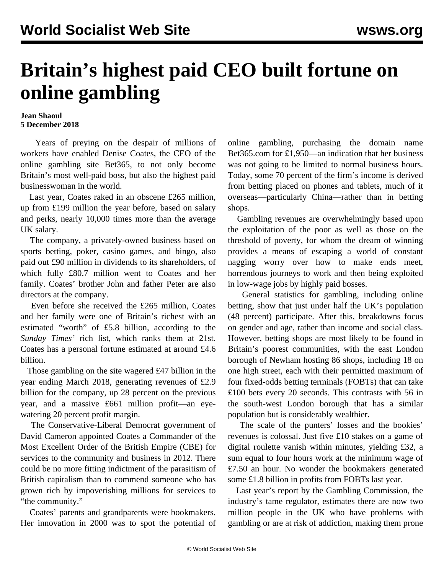## **Britain's highest paid CEO built fortune on online gambling**

## **Jean Shaoul 5 December 2018**

 Years of preying on the despair of millions of workers have enabled Denise Coates, the CEO of the online gambling site Bet365, to not only become Britain's most well-paid boss, but also the highest paid businesswoman in the world.

 Last year, Coates raked in an obscene £265 million, up from £199 million the year before, based on salary and perks, nearly 10,000 times more than the average UK salary.

 The company, a privately-owned business based on sports betting, poker, casino games, and bingo, also paid out £90 million in dividends to its shareholders, of which fully £80.7 million went to Coates and her family. Coates' brother John and father Peter are also directors at the company.

 Even before she received the £265 million, Coates and her family were one of Britain's richest with an estimated "worth" of £5.8 billion, according to the *Sunday Times'* rich list, which ranks them at 21st. Coates has a personal fortune estimated at around £4.6 billion.

 Those gambling on the site wagered £47 billion in the year ending March 2018, generating revenues of £2.9 billion for the company, up 28 percent on the previous year, and a massive £661 million profit—an eyewatering 20 percent profit margin.

 The Conservative-Liberal Democrat government of David Cameron appointed Coates a Commander of the Most Excellent Order of the British Empire (CBE) for services to the community and business in 2012. There could be no more fitting indictment of the parasitism of British capitalism than to commend someone who has grown rich by impoverishing millions for services to "the community."

 Coates' parents and grandparents were bookmakers. Her innovation in 2000 was to spot the potential of online gambling, purchasing the domain name Bet365.com for £1,950—an indication that her business was not going to be limited to normal business hours. Today, some 70 percent of the firm's income is derived from betting placed on phones and tablets, much of it overseas—particularly China—rather than in betting shops.

 Gambling revenues are overwhelmingly based upon the exploitation of the poor as well as those on the threshold of poverty, for whom the dream of winning provides a means of escaping a world of constant nagging worry over how to make ends meet, horrendous journeys to work and then being exploited in low-wage jobs by highly paid bosses.

 General statistics for gambling, including online betting, show that just under half the UK's population (48 percent) participate. After this, breakdowns focus on gender and age, rather than income and social class. However, betting shops are most likely to be found in Britain's poorest communities, with the east London borough of Newham hosting 86 shops, including 18 on one high street, each with their permitted maximum of four fixed-odds betting terminals (FOBTs) that can take £100 bets every 20 seconds. This contrasts with 56 in the south-west London borough that has a similar population but is considerably wealthier.

 The scale of the punters' losses and the bookies' revenues is colossal. Just five £10 stakes on a game of digital roulette vanish within minutes, yielding £32, a sum equal to four hours work at the minimum wage of £7.50 an hour. No wonder the bookmakers generated some £1.8 billion in profits from FOBTs last year.

 Last year's report by the Gambling Commission, the industry's tame regulator, estimates there are now two million people in the UK who have problems with gambling or are at risk of addiction, making them prone